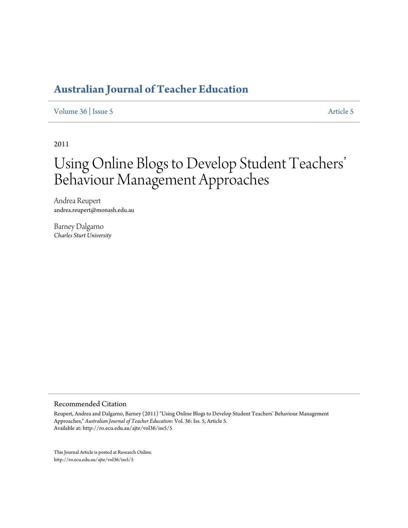## **[Australian Journal of Teacher Education](http://ro.ecu.edu.au/ajte)**

## [Volume 36](http://ro.ecu.edu.au/ajte/vol36) | [Issue 5](http://ro.ecu.edu.au/ajte/vol36/iss5) [Article 5](http://ro.ecu.edu.au/ajte/vol36/iss5/5)

2011

# Using Online Blogs to Develop Student Teachers' Behaviour Management Approaches

Andrea Reupert andrea.reupert@monash.edu.au

Barney Dalgarno *Charles Sturt University*

#### Recommended Citation

Reupert, Andrea and Dalgarno, Barney (2011) "Using Online Blogs to Develop Student Teachers' Behaviour Management Approaches," *Australian Journal of Teacher Education*: Vol. 36: Iss. 5, Article 5. Available at: http://ro.ecu.edu.au/ajte/vol36/iss5/5

This Journal Article is posted at Research Online. http://ro.ecu.edu.au/ajte/vol36/iss5/5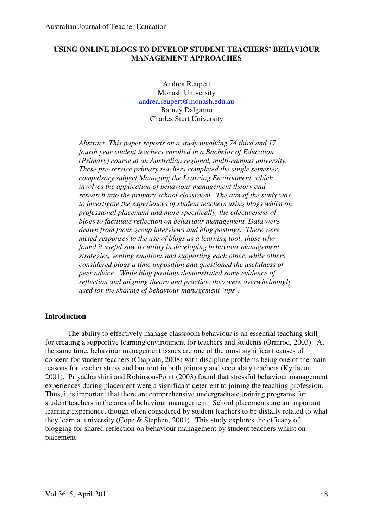## **USING ONLINE BLOGS TO DEVELOP STUDENT TEACHERS' BEHAVIOUR MANAGEMENT APPROACHES**

Andrea Reupert Monash University andrea.reupert@monash.edu.au Barney Dalgarno Charles Sturt University

*Abstract: This paper reports on a study involving 74 third and 17 fourth year student teachers enrolled in a Bachelor of Education (Primary) course at an Australian regional, multi-campus university. These pre-service primary teachers completed the single semester, compulsory subject Managing the Learning Environment, which involves the application of behaviour management theory and research into the primary school classroom. The aim of the study was to investigate the experiences of student teachers using blogs whilst on professional placement and more specifically, the effectiveness of blogs to facilitate reflection on behaviour management. Data were drawn from focus group interviews and blog postings. There were mixed responses to the use of blogs as a learning tool; those who found it useful saw its utility in developing behaviour management strategies, venting emotions and supporting each other, while others considered blogs a time imposition and questioned the usefulness of peer advice. While blog postings demonstrated some evidence of reflection and aligning theory and practice, they were overwhelmingly used for the sharing of behaviour management 'tips'.* 

## **Introduction**

The ability to effectively manage classroom behaviour is an essential teaching skill for creating a supportive learning environment for teachers and students (Ormrod, 2003). At the same time, behaviour management issues are one of the most significant causes of concern for student teachers (Chaplain, 2008) with discipline problems being one of the main reasons for teacher stress and burnout in both primary and secondary teachers (Kyriacou, 2001). Priyadharshini and Robinson-Point (2003) found that stressful behaviour management experiences during placement were a significant deterrent to joining the teaching profession. Thus, it is important that there are comprehensive undergraduate training programs for student teachers in the area of behaviour management. School placements are an important learning experience, though often considered by student teachers to be distally related to what they learn at university (Cope & Stephen, 2001). This study explores the efficacy of blogging for shared reflection on behaviour management by student teachers whilst on placement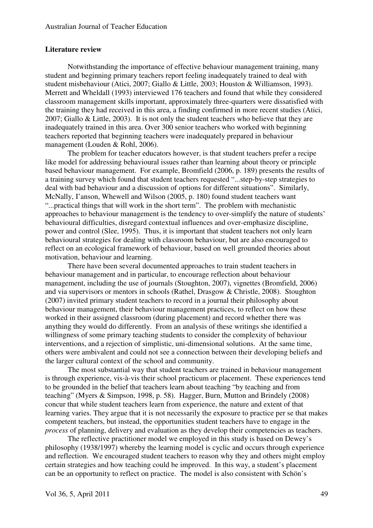## **Literature review**

Notwithstanding the importance of effective behaviour management training, many student and beginning primary teachers report feeling inadequately trained to deal with student misbehaviour (Atici, 2007; Giallo & Little, 2003; Houston & Williamson, 1993). Merrett and Wheldall (1993) interviewed 176 teachers and found that while they considered classroom management skills important, approximately three-quarters were dissatisfied with the training they had received in this area, a finding confirmed in more recent studies (Atici, 2007; Giallo & Little, 2003). It is not only the student teachers who believe that they are inadequately trained in this area. Over 300 senior teachers who worked with beginning teachers reported that beginning teachers were inadequately prepared in behaviour management (Louden & Rohl, 2006).

The problem for teacher educators however, is that student teachers prefer a recipe like model for addressing behavioural issues rather than learning about theory or principle based behaviour management. For example, Bromfield (2006, p. 189) presents the results of a training survey which found that student teachers requested "...step-by-step strategies to deal with bad behaviour and a discussion of options for different situations". Similarly, McNally, I'anson, Whewell and Wilson (2005, p. 180) found student teachers want "...practical things that will work in the short term". The problem with mechanistic approaches to behaviour management is the tendency to over-simplify the nature of students' behavioural difficulties, disregard contextual influences and over-emphasize discipline, power and control (Slee, 1995). Thus, it is important that student teachers not only learn behavioural strategies for dealing with classroom behaviour, but are also encouraged to reflect on an ecological framework of behaviour, based on well grounded theories about motivation, behaviour and learning.

There have been several documented approaches to train student teachers in behaviour management and in particular, to encourage reflection about behaviour management, including the use of journals (Stoughton, 2007), vignettes (Bromfield, 2006) and via supervisors or mentors in schools (Rathel, Drasgow & Christle, 2008). Stoughton (2007) invited primary student teachers to record in a journal their philosophy about behaviour management, their behaviour management practices, to reflect on how these worked in their assigned classroom (during placement) and record whether there was anything they would do differently. From an analysis of these writings she identified a willingness of some primary teaching students to consider the complexity of behaviour interventions, and a rejection of simplistic, uni-dimensional solutions. At the same time, others were ambivalent and could not see a connection between their developing beliefs and the larger cultural context of the school and community.

The most substantial way that student teachers are trained in behaviour management is through experience, vis-à-vis their school practicum or placement. These experiences tend to be grounded in the belief that teachers learn about teaching "by teaching and from teaching" (Myers & Simpson, 1998, p. 58). Hagger, Burn, Mutton and Brindely (2008) concur that while student teachers learn from experience, the nature and extent of that learning varies. They argue that it is not necessarily the exposure to practice per se that makes competent teachers, but instead, the opportunities student teachers have to engage in the *process* of planning, delivery and evaluation as they develop their competencies as teachers.

The reflective practitioner model we employed in this study is based on Dewey's philosophy (1938/1997) whereby the learning model is cyclic and occurs through experience and reflection. We encouraged student teachers to reason why they and others might employ certain strategies and how teaching could be improved. In this way, a student's placement can be an opportunity to reflect on practice. The model is also consistent with Schön's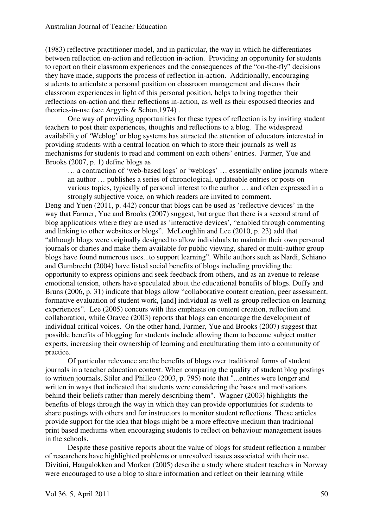## Australian Journal of Teacher Education

(1983) reflective practitioner model, and in particular, the way in which he differentiates between reflection on-action and reflection in-action. Providing an opportunity for students to report on their classroom experiences and the consequences of the "on-the-fly" decisions they have made, supports the process of reflection in-action. Additionally, encouraging students to articulate a personal position on classroom management and discuss their classroom experiences in light of this personal position, helps to bring together their reflections on-action and their reflections in-action, as well as their espoused theories and theories-in-use (see Argyris & Schön,1974) .

One way of providing opportunities for these types of reflection is by inviting student teachers to post their experiences, thoughts and reflections to a blog. The widespread availability of 'Weblog' or blog systems has attracted the attention of educators interested in providing students with a central location on which to store their journals as well as mechanisms for students to read and comment on each others' entries. Farmer, Yue and Brooks (2007, p. 1) define blogs as

… a contraction of 'web-based logs' or 'weblogs' … essentially online journals where an author … publishes a series of chronological, updateable entries or posts on various topics, typically of personal interest to the author … and often expressed in a strongly subjective voice, on which readers are invited to comment.

Deng and Yuen (2011, p. 442) concur that blogs can be used as 'reflective devices' in the way that Farmer, Yue and Brooks (2007) suggest, but argue that there is a second strand of blog applications where they are used as 'interactive devices', "enabled through commenting and linking to other websites or blogs". McLoughlin and Lee (2010, p. 23) add that "although blogs were originally designed to allow individuals to maintain their own personal journals or diaries and make them available for public viewing, shared or multi-author group blogs have found numerous uses...to support learning". While authors such as Nardi, Schiano and Gumbrecht (2004) have listed social benefits of blogs including providing the opportunity to express opinions and seek feedback from others, and as an avenue to release emotional tension, others have speculated about the educational benefits of blogs. Duffy and Bruns (2006, p. 31) indicate that blogs allow "collaborative content creation, peer assessment, formative evaluation of student work, [and] individual as well as group reflection on learning experiences". Lee (2005) concurs with this emphasis on content creation, reflection and collaboration, while Oravec (2003) reports that blogs can encourage the development of individual critical voices. On the other hand, Farmer, Yue and Brooks (2007) suggest that possible benefits of blogging for students include allowing them to become subject matter experts, increasing their ownership of learning and enculturating them into a community of practice.

Of particular relevance are the benefits of blogs over traditional forms of student journals in a teacher education context. When comparing the quality of student blog postings to written journals, Stiler and Philleo (2003, p. 795) note that "...entries were longer and written in ways that indicated that students were considering the bases and motivations behind their beliefs rather than merely describing them". Wagner (2003) highlights the benefits of blogs through the way in which they can provide opportunities for students to share postings with others and for instructors to monitor student reflections. These articles provide support for the idea that blogs might be a more effective medium than traditional print based mediums when encouraging students to reflect on behaviour management issues in the schools.

Despite these positive reports about the value of blogs for student reflection a number of researchers have highlighted problems or unresolved issues associated with their use. Divitini, Haugalokken and Morken (2005) describe a study where student teachers in Norway were encouraged to use a blog to share information and reflect on their learning while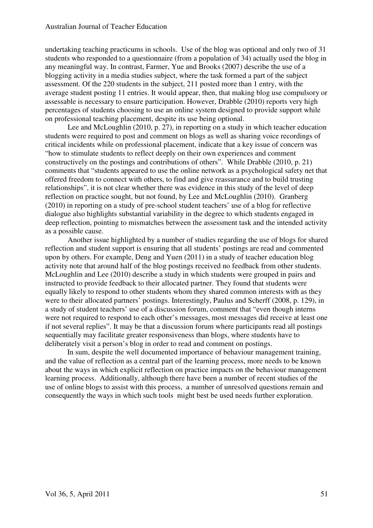undertaking teaching practicums in schools. Use of the blog was optional and only two of 31 students who responded to a questionnaire (from a population of 34) actually used the blog in any meaningful way. In contrast, Farmer, Yue and Brooks (2007) describe the use of a blogging activity in a media studies subject, where the task formed a part of the subject assessment. Of the 220 students in the subject, 211 posted more than 1 entry, with the average student posting 11 entries. It would appear, then, that making blog use compulsory or assessable is necessary to ensure participation. However, Drabble (2010) reports very high percentages of students choosing to use an online system designed to provide support while on professional teaching placement, despite its use being optional.

Lee and McLoughlin (2010, p. 27), in reporting on a study in which teacher education students were required to post and comment on blogs as well as sharing voice recordings of critical incidents while on professional placement, indicate that a key issue of concern was "how to stimulate students to reflect deeply on their own experiences and comment constructively on the postings and contributions of others". While Drabble (2010, p. 21) comments that "students appeared to use the online network as a psychological safety net that offered freedom to connect with others, to find and give reassurance and to build trusting relationships", it is not clear whether there was evidence in this study of the level of deep reflection on practice sought, but not found, by Lee and McLoughlin (2010). Granberg (2010) in reporting on a study of pre-school student teachers' use of a blog for reflective dialogue also highlights substantial variability in the degree to which students engaged in deep reflection, pointing to mismatches between the assessment task and the intended activity as a possible cause.

Another issue highlighted by a number of studies regarding the use of blogs for shared reflection and student support is ensuring that all students' postings are read and commented upon by others. For example, Deng and Yuen (2011) in a study of teacher education blog activity note that around half of the blog postings received no feedback from other students. McLoughlin and Lee (2010) describe a study in which students were grouped in pairs and instructed to provide feedback to their allocated partner. They found that students were equally likely to respond to other students whom they shared common interests with as they were to their allocated partners' postings. Interestingly, Paulus and Scherff (2008, p. 129), in a study of student teachers' use of a discussion forum, comment that "even though interns were not required to respond to each other's messages, most messages did receive at least one if not several replies". It may be that a discussion forum where participants read all postings sequentially may facilitate greater responsiveness than blogs, where students have to deliberately visit a person's blog in order to read and comment on postings.

In sum, despite the well documented importance of behaviour management training, and the value of reflection as a central part of the learning process, more needs to be known about the ways in which explicit reflection on practice impacts on the behaviour management learning process. Additionally, although there have been a number of recent studies of the use of online blogs to assist with this process, a number of unresolved questions remain and consequently the ways in which such tools might best be used needs further exploration.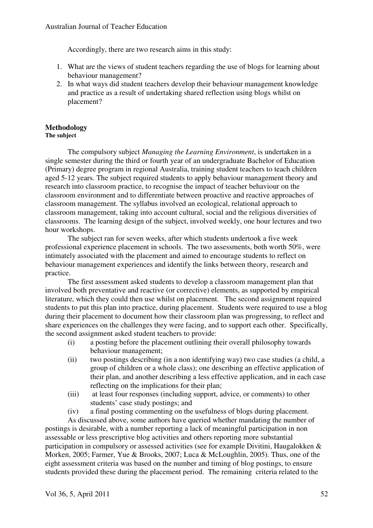Accordingly, there are two research aims in this study:

- 1. What are the views of student teachers regarding the use of blogs for learning about behaviour management?
- 2. In what ways did student teachers develop their behaviour management knowledge and practice as a result of undertaking shared reflection using blogs whilst on placement?

## **Methodology**

## **The subject**

The compulsory subject *Managing the Learning Environment*, is undertaken in a single semester during the third or fourth year of an undergraduate Bachelor of Education (Primary) degree program in regional Australia, training student teachers to teach children aged 5-12 years. The subject required students to apply behaviour management theory and research into classroom practice, to recognise the impact of teacher behaviour on the classroom environment and to differentiate between proactive and reactive approaches of classroom management. The syllabus involved an ecological, relational approach to classroom management, taking into account cultural, social and the religious diversities of classrooms. The learning design of the subject, involved weekly, one hour lectures and two hour workshops.

The subject ran for seven weeks, after which students undertook a five week professional experience placement in schools. The two assessments, both worth 50%, were intimately associated with the placement and aimed to encourage students to reflect on behaviour management experiences and identify the links between theory, research and practice.

The first assessment asked students to develop a classroom management plan that involved both preventative and reactive (or corrective) elements, as supported by empirical literature, which they could then use whilst on placement. The second assignment required students to put this plan into practice, during placement. Students were required to use a blog during their placement to document how their classroom plan was progressing, to reflect and share experiences on the challenges they were facing, and to support each other. Specifically, the second assignment asked student teachers to provide:

- (i) a posting before the placement outlining their overall philosophy towards behaviour management;
- (ii) two postings describing (in a non identifying way) two case studies (a child, a group of children or a whole class); one describing an effective application of their plan, and another describing a less effective application, and in each case reflecting on the implications for their plan;
- (iii) at least four responses (including support, advice, or comments) to other students' case study postings; and
- (iv) a final posting commenting on the usefulness of blogs during placement.

As discussed above, some authors have queried whether mandating the number of postings is desirable, with a number reporting a lack of meaningful participation in non assessable or less prescriptive blog activities and others reporting more substantial participation in compulsory or assessed activities (see for example Divitini, Haugalokken & Morken, 2005; Farmer, Yue & Brooks, 2007; Luca & McLoughlin, 2005). Thus, one of the eight assessment criteria was based on the number and timing of blog postings, to ensure students provided these during the placement period. The remaining criteria related to the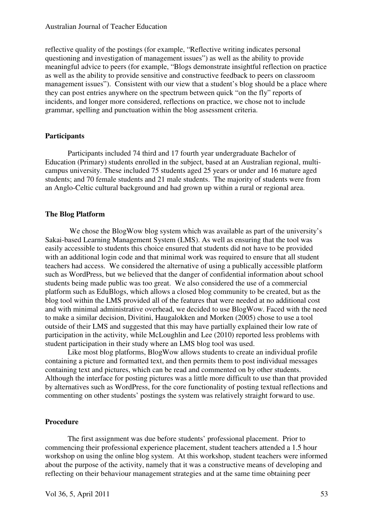reflective quality of the postings (for example, "Reflective writing indicates personal questioning and investigation of management issues") as well as the ability to provide meaningful advice to peers (for example, "Blogs demonstrate insightful reflection on practice as well as the ability to provide sensitive and constructive feedback to peers on classroom management issues"). Consistent with our view that a student's blog should be a place where they can post entries anywhere on the spectrum between quick "on the fly" reports of incidents, and longer more considered, reflections on practice, we chose not to include grammar, spelling and punctuation within the blog assessment criteria.

## **Participants**

Participants included 74 third and 17 fourth year undergraduate Bachelor of Education (Primary) students enrolled in the subject, based at an Australian regional, multicampus university. These included 75 students aged 25 years or under and 16 mature aged students; and 70 female students and 21 male students. The majority of students were from an Anglo-Celtic cultural background and had grown up within a rural or regional area.

## **The Blog Platform**

We chose the BlogWow blog system which was available as part of the university's Sakai-based Learning Management System (LMS). As well as ensuring that the tool was easily accessible to students this choice ensured that students did not have to be provided with an additional login code and that minimal work was required to ensure that all student teachers had access. We considered the alternative of using a publically accessible platform such as WordPress, but we believed that the danger of confidential information about school students being made public was too great. We also considered the use of a commercial platform such as EduBlogs, which allows a closed blog community to be created, but as the blog tool within the LMS provided all of the features that were needed at no additional cost and with minimal administrative overhead, we decided to use BlogWow. Faced with the need to make a similar decision, Divitini, Haugalokken and Morken (2005) chose to use a tool outside of their LMS and suggested that this may have partially explained their low rate of participation in the activity, while McLoughlin and Lee (2010) reported less problems with student participation in their study where an LMS blog tool was used.

Like most blog platforms, BlogWow allows students to create an individual profile containing a picture and formatted text, and then permits them to post individual messages containing text and pictures, which can be read and commented on by other students. Although the interface for posting pictures was a little more difficult to use than that provided by alternatives such as WordPress, for the core functionality of posting textual reflections and commenting on other students' postings the system was relatively straight forward to use.

## **Procedure**

The first assignment was due before students' professional placement. Prior to commencing their professional experience placement, student teachers attended a 1.5 hour workshop on using the online blog system. At this workshop, student teachers were informed about the purpose of the activity, namely that it was a constructive means of developing and reflecting on their behaviour management strategies and at the same time obtaining peer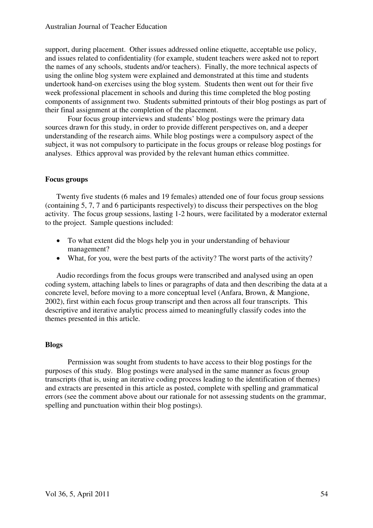support, during placement. Other issues addressed online etiquette, acceptable use policy, and issues related to confidentiality (for example, student teachers were asked not to report the names of any schools, students and/or teachers). Finally, the more technical aspects of using the online blog system were explained and demonstrated at this time and students undertook hand-on exercises using the blog system. Students then went out for their five week professional placement in schools and during this time completed the blog posting components of assignment two. Students submitted printouts of their blog postings as part of their final assignment at the completion of the placement.

Four focus group interviews and students' blog postings were the primary data sources drawn for this study, in order to provide different perspectives on, and a deeper understanding of the research aims. While blog postings were a compulsory aspect of the subject, it was not compulsory to participate in the focus groups or release blog postings for analyses. Ethics approval was provided by the relevant human ethics committee.

## **Focus groups**

Twenty five students (6 males and 19 females) attended one of four focus group sessions (containing 5, 7, 7 and 6 participants respectively) to discuss their perspectives on the blog activity. The focus group sessions, lasting 1-2 hours, were facilitated by a moderator external to the project. Sample questions included:

- To what extent did the blogs help you in your understanding of behaviour management?
- What, for you, were the best parts of the activity? The worst parts of the activity?

Audio recordings from the focus groups were transcribed and analysed using an open coding system, attaching labels to lines or paragraphs of data and then describing the data at a concrete level, before moving to a more conceptual level (Anfara, Brown, & Mangione, 2002), first within each focus group transcript and then across all four transcripts. This descriptive and iterative analytic process aimed to meaningfully classify codes into the themes presented in this article.

## **Blogs**

Permission was sought from students to have access to their blog postings for the purposes of this study. Blog postings were analysed in the same manner as focus group transcripts (that is, using an iterative coding process leading to the identification of themes) and extracts are presented in this article as posted, complete with spelling and grammatical errors (see the comment above about our rationale for not assessing students on the grammar, spelling and punctuation within their blog postings).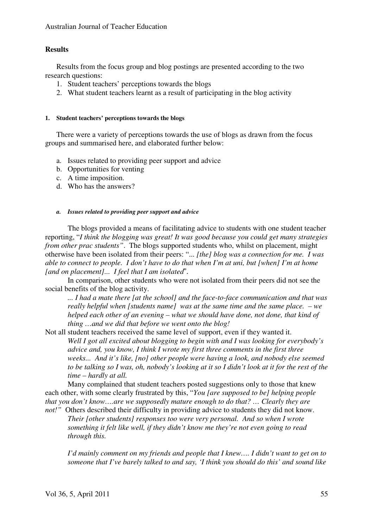## **Results**

Results from the focus group and blog postings are presented according to the two research questions:

- 1. Student teachers' perceptions towards the blogs
- 2. What student teachers learnt as a result of participating in the blog activity

## **1. Student teachers' perceptions towards the blogs**

There were a variety of perceptions towards the use of blogs as drawn from the focus groups and summarised here, and elaborated further below:

- a. Issues related to providing peer support and advice
- b. Opportunities for venting
- c. A time imposition.
- d. Who has the answers?

## *a. Issues related to providing peer support and advice*

The blogs provided a means of facilitating advice to students with one student teacher reporting, "*I think the blogging was great! It was good because you could get many strategies from other prac students"*. The blogs supported students who, whilst on placement, might otherwise have been isolated from their peers: "... *[the] blog was a connection for me. I was able to connect to people. I don't have to do that when I'm at uni, but [when] I'm at home [and on placement]... I feel that I am isolated*".

In comparison, other students who were not isolated from their peers did not see the social benefits of the blog activity.

*... I had a mate there [at the school] and the face-to-face communication and that was really helpful when [students name] was at the same time and the same place. – we helped each other of an evening – what we should have done, not done, that kind of thing …and we did that before we went onto the blog!* 

Not all student teachers received the same level of support, even if they wanted it.

*Well I got all excited about blogging to begin with and I was looking for everybody's advice and, you know, I think I wrote my first three comments in the first three weeks... And it's like, [no] other people were having a look, and nobody else seemed to be talking so I was, oh, nobody's looking at it so I didn't look at it for the rest of the time – hardly at all.* 

Many complained that student teachers posted suggestions only to those that knew each other, with some clearly frustrated by this, "*You [are supposed to be] helping people that you don't know….are we supposedly mature enough to do that? … Clearly they are not!*" Others described their difficulty in providing advice to students they did not know.

*Their [other students] responses too were very personal. And so when I wrote something it felt like well, if they didn't know me they're not even going to read through this.* 

*I'd mainly comment on my friends and people that I knew.... I didn't want to get on to someone that I've barely talked to and say, 'I think you should do this' and sound like*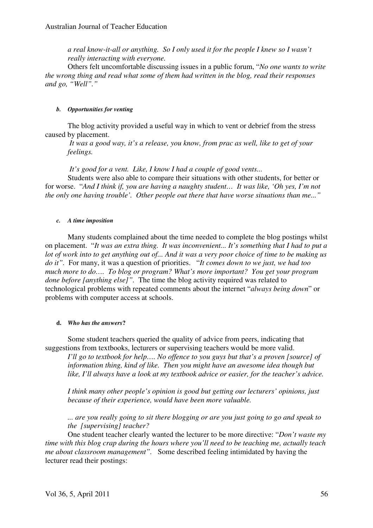*a real know-it-all or anything. So I only used it for the people I knew so I wasn't really interacting with everyone.* 

Others felt uncomfortable discussing issues in a public forum, "*No one wants to write the wrong thing and read what some of them had written in the blog, read their responses and go, "Well"."* 

## *b. Opportunities for venting*

The blog activity provided a useful way in which to vent or debrief from the stress caused by placement.

*It was a good way, it's a release, you know, from prac as well, like to get of your feelings.* 

 *It's good for a vent. Like, I know I had a couple of good vents...* 

Students were also able to compare their situations with other students, for better or for worse. "*And I think if, you are having a naughty student… It was like, 'Oh yes, I'm not the only one having trouble'. Other people out there that have worse situations than me..."* 

## *c. A time imposition*

Many students complained about the time needed to complete the blog postings whilst on placement. "*It was an extra thing. It was inconvenient... It's something that I had to put a lot of work into to get anything out of... And it was a very poor choice of time to be making us do it".* For many, it was a question of priorities. "*It comes down to we just, we had too much more to do…. To blog or program? What's more important? You get your program done before [anything else]".* The time the blog activity required was related to technological problems with repeated comments about the internet "*always being down*" or problems with computer access at schools.

## **d.** *Who has the answers***?**

Some student teachers queried the quality of advice from peers, indicating that suggestions from textbooks, lecturers or supervising teachers would be more valid.

*I'll go to textbook for help…. No offence to you guys but that's a proven [source] of information thing, kind of like. Then you might have an awesome idea though but like, I'll always have a look at my textbook advice or easier, for the teacher's advice.* 

*I think many other people's opinion is good but getting our lecturers' opinions, just because of their experience, would have been more valuable.* 

*... are you really going to sit there blogging or are you just going to go and speak to the [supervising] teacher?* 

One student teacher clearly wanted the lecturer to be more directive: "*Don't waste my time with this blog crap during the hours where you'll need to be teaching me, actually teach me about classroom management".* Some described feeling intimidated by having the lecturer read their postings: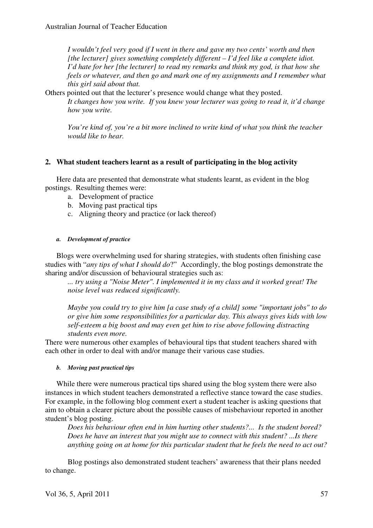*I wouldn't feel very good if I went in there and gave my two cents' worth and then [the lecturer] gives something completely different – I'd feel like a complete idiot. I'd hate for her [the lecturer] to read my remarks and think my god, is that how she feels or whatever, and then go and mark one of my assignments and I remember what this girl said about that.* 

Others pointed out that the lecturer's presence would change what they posted.

*It changes how you write. If you knew your lecturer was going to read it, it'd change how you write.* 

*You're kind of, you're a bit more inclined to write kind of what you think the teacher would like to hear.* 

## **2. What student teachers learnt as a result of participating in the blog activity**

Here data are presented that demonstrate what students learnt, as evident in the blog postings. Resulting themes were:

- a. Development of practice
- b. Moving past practical tips
- c. Aligning theory and practice (or lack thereof)

## *a. Development of practice*

Blogs were overwhelming used for sharing strategies, with students often finishing case studies with "*any tips of what I should do*?" Accordingly, the blog postings demonstrate the sharing and/or discussion of behavioural strategies such as:

*... try using a "Noise Meter". I implemented it in my class and it worked great! The noise level was reduced significantly.* 

*Maybe you could try to give him [a case study of a child] some "important jobs" to do or give him some responsibilities for a particular day. This always gives kids with low self-esteem a big boost and may even get him to rise above following distracting students even more.* 

There were numerous other examples of behavioural tips that student teachers shared with each other in order to deal with and/or manage their various case studies.

## *b. Moving past practical tips*

While there were numerous practical tips shared using the blog system there were also instances in which student teachers demonstrated a reflective stance toward the case studies. For example, in the following blog comment exert a student teacher is asking questions that aim to obtain a clearer picture about the possible causes of misbehaviour reported in another student's blog posting.

*Does his behaviour often end in him hurting other students?... Is the student bored? Does he have an interest that you might use to connect with this student? ...Is there anything going on at home for this particular student that he feels the need to act out?* 

Blog postings also demonstrated student teachers' awareness that their plans needed to change.

Vol 36, 5, April 2011 57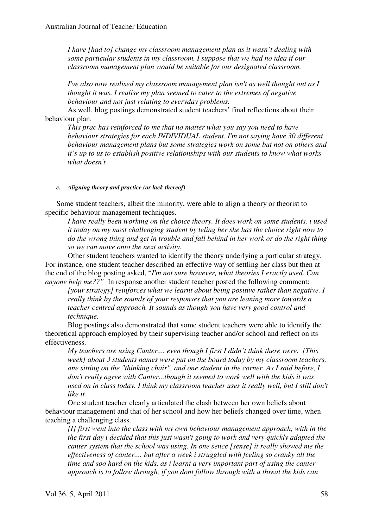*I have [had to] change my classroom management plan as it wasn't dealing with some particular students in my classroom. I suppose that we had no idea if our classroom management plan would be suitable for our designated classroom.* 

*I've also now realised my classroom management plan isn't as well thought out as I thought it was. I realise my plan seemed to cater to the extremes of negative behaviour and not just relating to everyday problems.* 

As well, blog postings demonstrated student teachers' final reflections about their behaviour plan.

*This prac has reinforced to me that no matter what you say you need to have behaviour strategies for each INDIVIDUAL student. I'm not saying have 30 different behaviour management plans but some strategies work on some but not on others and it's up to us to establish positive relationships with our students to know what works what doesn't.* 

## *c. Aligning theory and practice (or lack thereof)*

Some student teachers, albeit the minority, were able to align a theory or theorist to specific behaviour management techniques.

*I have really been working on the choice theory. It does work on some students. i used it today on my most challenging student by teling her she has the choice right now to do the wrong thing and get in trouble and fall behind in her work or do the right thing so we can move onto the next activity.* 

Other student teachers wanted to identify the theory underlying a particular strategy. For instance, one student teacher described an effective way of settling her class but then at the end of the blog posting asked, "*I'm not sure however, what theories I exactly used. Can anyone help me??"* In response another student teacher posted the following comment:

*[your strategy] reinforces what we learnt about being positive rather than negative. I really think by the sounds of your responses that you are leaning more towards a teacher centred approach. It sounds as though you have very good control and technique.* 

Blog postings also demonstrated that some student teachers were able to identify the theoretical approach employed by their supervising teacher and/or school and reflect on its effectiveness.

*My teachers are using Canter.... even though I first I didn't think there were. [This week] about 3 students names were put on the board today by my classroom teachers, one sitting on the "thinking chair", and one student in the corner. As I said before, I don't really agree with Canter...though it seemed to work well with the kids it was used on in class today. I think my classroom teacher uses it really well, but I still don't like it.* 

One student teacher clearly articulated the clash between her own beliefs about behaviour management and that of her school and how her beliefs changed over time, when teaching a challenging class.

*[I] first went into the class with my own behaviour management approach, with in the the first day i decided that this just wasn't going to work and very quickly adapted the canter system that the school was using. In one sence [sense] it really showed me the effectiveness of canter.... but after a week i struggled with feeling so cranky all the time and soo hard on the kids, as i learnt a very important part of using the canter approach is to follow through, if you dont follow through with a threat the kids can*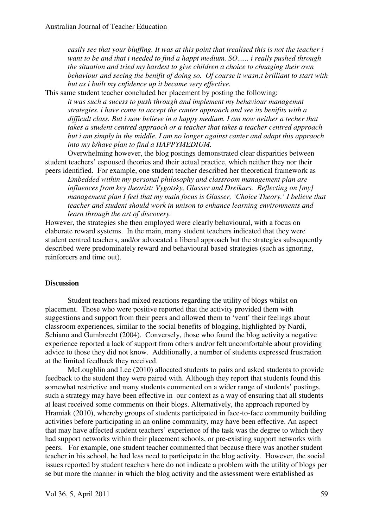*easily see that your bluffing. It was at this point that irealised this is not the teacher i want to be and that i needed to find a happt medium. SO...... i really pushed through the situation and tried my hardest to give children a choice to chnaging their own behaviour and seeing the benifit of doing so. Of course it wasn;t brilliant to start with but as i built my cnfidence up it became very effective.* 

This same student teacher concluded her placement by posting the following:

*it was such a sucess to push through and implement my behaviour managemnt strategies. i have come to accept the canter approach and see its benifits with a difficult class. But i now believe in a happy medium. I am now neither a techer that takes a student centred appraoch or a teacher that takes a teacher centred approach but i am simply in the middle. I am no longer against canter and adapt this appraoch into my b/have plan to find a HAPPYMEDIUM.* 

Overwhelming however, the blog postings demonstrated clear disparities between student teachers' espoused theories and their actual practice, which neither they nor their peers identified. For example, one student teacher described her theoretical framework as

*Embedded within my personal philosophy and classroom management plan are influences from key theorist: Vygotsky, Glasser and Dreikurs. Reflecting on [my] management plan I feel that my main focus is Glasser, 'Choice Theory.' I believe that teacher and student should work in unison to enhance learning environments and learn through the art of discovery.* 

However, the strategies she then employed were clearly behavioural, with a focus on elaborate reward systems. In the main, many student teachers indicated that they were student centred teachers, and/or advocated a liberal approach but the strategies subsequently described were predominately reward and behavioural based strategies (such as ignoring, reinforcers and time out).

## **Discussion**

Student teachers had mixed reactions regarding the utility of blogs whilst on placement. Those who were positive reported that the activity provided them with suggestions and support from their peers and allowed them to 'vent' their feelings about classroom experiences, similar to the social benefits of blogging, highlighted by Nardi, Schiano and Gumbrecht (2004). Conversely, those who found the blog activity a negative experience reported a lack of support from others and/or felt uncomfortable about providing advice to those they did not know. Additionally, a number of students expressed frustration at the limited feedback they received.

McLoughlin and Lee (2010) allocated students to pairs and asked students to provide feedback to the student they were paired with. Although they report that students found this somewhat restrictive and many students commented on a wider range of students' postings, such a strategy may have been effective in our context as a way of ensuring that all students at least received some comments on their blogs. Alternatively, the approach reported by Hramiak (2010), whereby groups of students participated in face-to-face community building activities before participating in an online community, may have been effective. An aspect that may have affected student teachers' experience of the task was the degree to which they had support networks within their placement schools, or pre-existing support networks with peers. For example, one student teacher commented that because there was another student teacher in his school, he had less need to participate in the blog activity. However, the social issues reported by student teachers here do not indicate a problem with the utility of blogs per se but more the manner in which the blog activity and the assessment were established as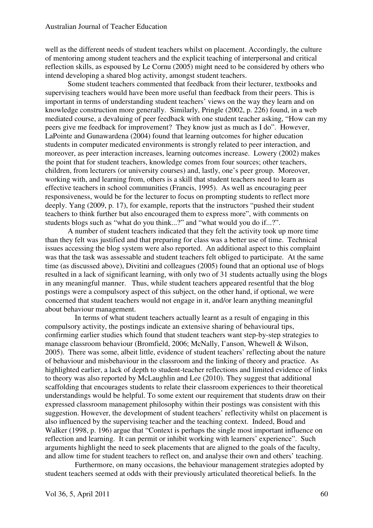well as the different needs of student teachers whilst on placement. Accordingly, the culture of mentoring among student teachers and the explicit teaching of interpersonal and critical reflection skills, as espoused by Le Cornu (2005) might need to be considered by others who intend developing a shared blog activity, amongst student teachers.

Some student teachers commented that feedback from their lecturer, textbooks and supervising teachers would have been more useful than feedback from their peers. This is important in terms of understanding student teachers' views on the way they learn and on knowledge construction more generally. Similarly, Pringle (2002, p. 226) found, in a web mediated course, a devaluing of peer feedback with one student teacher asking, "How can my peers give me feedback for improvement? They know just as much as I do". However, LaPointe and Gunawardena (2004) found that learning outcomes for higher education students in computer medicated environments is strongly related to peer interaction, and moreover, as peer interaction increases, learning outcomes increase. Lowery (2002) makes the point that for student teachers, knowledge comes from four sources; other teachers, children, from lecturers (or university courses) and, lastly, one's peer group. Moreover, working with, and learning from, others is a skill that student teachers need to learn as effective teachers in school communities (Francis, 1995). As well as encouraging peer responsiveness, would be for the lecturer to focus on prompting students to reflect more deeply. Yang (2009, p. 17), for example, reports that the instructors "pushed their student teachers to think further but also encouraged them to express more", with comments on students blogs such as "what do you think...?" and "what would you do if...?".

A number of student teachers indicated that they felt the activity took up more time than they felt was justified and that preparing for class was a better use of time. Technical issues accessing the blog system were also reported. An additional aspect to this complaint was that the task was assessable and student teachers felt obliged to participate. At the same time (as discussed above), Divitini and colleagues (2005) found that an optional use of blogs resulted in a lack of significant learning, with only two of 31 students actually using the blogs in any meaningful manner. Thus, while student teachers appeared resentful that the blog postings were a compulsory aspect of this subject, on the other hand, if optional, we were concerned that student teachers would not engage in it, and/or learn anything meaningful about behaviour management.

 In terms of what student teachers actually learnt as a result of engaging in this compulsory activity, the postings indicate an extensive sharing of behavioural tips, confirming earlier studies which found that student teachers want step-by-step strategies to manage classroom behaviour (Bromfield, 2006; McNally, I'anson, Whewell & Wilson, 2005). There was some, albeit little, evidence of student teachers' reflecting about the nature of behaviour and misbehaviour in the classroom and the linking of theory and practice. As highlighted earlier, a lack of depth to student-teacher reflections and limited evidence of links to theory was also reported by McLaughlin and Lee (2010). They suggest that additional scaffolding that encourages students to relate their classroom experiences to their theoretical understandings would be helpful. To some extent our requirement that students draw on their expressed classroom management philosophy within their postings was consistent with this suggestion. However, the development of student teachers' reflectivity whilst on placement is also influenced by the supervising teacher and the teaching context. Indeed, Boud and Walker (1998, p. 196) argue that "Context is perhaps the single most important influence on reflection and learning. It can permit or inhibit working with learners' experience". Such arguments highlight the need to seek placements that are aligned to the goals of the faculty, and allow time for student teachers to reflect on, and analyse their own and others' teaching.

 Furthermore, on many occasions, the behaviour management strategies adopted by student teachers seemed at odds with their previously articulated theoretical beliefs. In the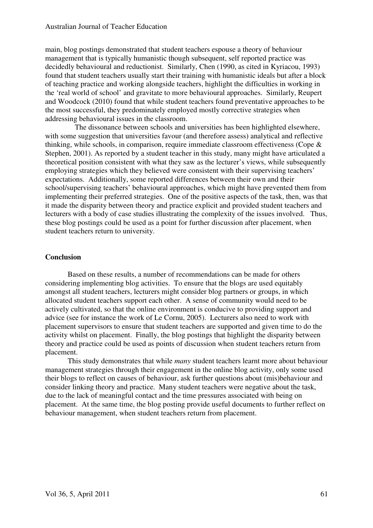main, blog postings demonstrated that student teachers espouse a theory of behaviour management that is typically humanistic though subsequent, self reported practice was decidedly behavioural and reductionist. Similarly, Chen (1990, as cited in Kyriacou, 1993) found that student teachers usually start their training with humanistic ideals but after a block of teaching practice and working alongside teachers, highlight the difficulties in working in the 'real world of school' and gravitate to more behavioural approaches. Similarly, Reupert and Woodcock (2010) found that while student teachers found preventative approaches to be the most successful, they predominately employed mostly corrective strategies when addressing behavioural issues in the classroom.

 The dissonance between schools and universities has been highlighted elsewhere, with some suggestion that universities favour (and therefore assess) analytical and reflective thinking, while schools, in comparison, require immediate classroom effectiveness (Cope & Stephen, 2001). As reported by a student teacher in this study, many might have articulated a theoretical position consistent with what they saw as the lecturer's views, while subsequently employing strategies which they believed were consistent with their supervising teachers' expectations. Additionally, some reported differences between their own and their school/supervising teachers' behavioural approaches, which might have prevented them from implementing their preferred strategies. One of the positive aspects of the task, then, was that it made the disparity between theory and practice explicit and provided student teachers and lecturers with a body of case studies illustrating the complexity of the issues involved. Thus, these blog postings could be used as a point for further discussion after placement, when student teachers return to university.

## **Conclusion**

Based on these results, a number of recommendations can be made for others considering implementing blog activities. To ensure that the blogs are used equitably amongst all student teachers, lecturers might consider blog partners or groups, in which allocated student teachers support each other. A sense of community would need to be actively cultivated, so that the online environment is conducive to providing support and advice (see for instance the work of Le Cornu, 2005). Lecturers also need to work with placement supervisors to ensure that student teachers are supported and given time to do the activity whilst on placement. Finally, the blog postings that highlight the disparity between theory and practice could be used as points of discussion when student teachers return from placement.

This study demonstrates that while *many* student teachers learnt more about behaviour management strategies through their engagement in the online blog activity, only some used their blogs to reflect on causes of behaviour, ask further questions about (mis)behaviour and consider linking theory and practice. Many student teachers were negative about the task, due to the lack of meaningful contact and the time pressures associated with being on placement. At the same time, the blog posting provide useful documents to further reflect on behaviour management, when student teachers return from placement.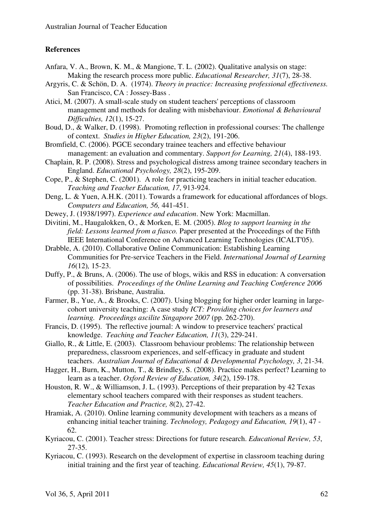## **References**

- Anfara, V. A., Brown, K. M., & Mangione, T. L. (2002). Qualitative analysis on stage: Making the research process more public. *Educational Researcher, 31*(7), 28-38.
- Argyris, C. & Schön, D. A. (1974). *Theory in practice: Increasing professional effectiveness.* San Francisco, CA : Jossey-Bass .
- Atici, M. (2007). A small-scale study on student teachers' perceptions of classroom management and methods for dealing with misbehaviour. *Emotional & Behavioural Difficulties, 12*(1), 15-27.
- Boud, D., & Walker, D. (1998). Promoting reflection in professional courses: The challenge of context. *Studies in Higher Education, 23*(2), 191-206.
- Bromfield, C. (2006). PGCE secondary trainee teachers and effective behaviour management: an evaluation and commentary. *Support for Learning, 21*(4), 188-193.
- Chaplain, R. P. (2008). Stress and psychological distress among trainee secondary teachers in England. *Educational Psychology, 28*(2), 195-209.
- Cope, P., & Stephen, C. (2001). A role for practicing teachers in initial teacher education. *Teaching and Teacher Education, 17*, 913-924.
- Deng, L. & Yuen, A.H.K. (2011). Towards a framework for educational affordances of blogs. *Computers and Education, 56,* 441-451.
- Dewey, J. (1938/1997). *Experience and education*. New York: Macmillan.
- Divitini, M., Haugalokken, O., & Morken, E. M. (2005). *Blog to support learning in the field: Lessons learned from a fiasco.* Paper presented at the Proceedings of the Fifth IEEE International Conference on Advanced Learning Technologies (ICALT'05).
- Drabble, A. (2010). Collaborative Online Communication: Establishing Learning Communities for Pre-service Teachers in the Field. *International Journal of Learning 16*(12)*,* 15-23.
- Duffy, P., & Bruns, A. (2006). The use of blogs, wikis and RSS in education: A conversation of possibilities. *Proceedings of the Online Learning and Teaching Conference 2006* (pp. 31-38). Brisbane, Australia.
- Farmer, B., Yue, A., & Brooks, C. (2007). Using blogging for higher order learning in largecohort university teaching: A case study *ICT: Providing choices for learners and learning. Proceedings ascilite Singapore 2007* (pp. 262-270).
- Francis, D. (1995). The reflective journal: A window to preservice teachers' practical knowledge. *Teaching and Teacher Education, 11*(3), 229-241.
- Giallo, R., & Little, E. (2003). Classroom behaviour problems: The relationship between preparedness, classroom experiences, and self-efficacy in graduate and student teachers. *Australian Journal of Educational & Developmental Psychology, 3*, 21-34.
- Hagger, H., Burn, K., Mutton, T., & Brindley, S. (2008). Practice makes perfect? Learning to learn as a teacher. *Oxford Review of Education, 34*(2), 159-178.
- Houston, R. W., & Williamson, J. L. (1993). Perceptions of their preparation by 42 Texas elementary school teachers compared with their responses as student teachers. *Teacher Education and Practice, 8*(2), 27-42.
- Hramiak, A. (2010). Online learning community development with teachers as a means of enhancing initial teacher training. *Technology, Pedagogy and Education, 19*(1), 47 - 62.
- Kyriacou, C. (2001). Teacher stress: Directions for future research. *Educational Review, 53*, 27-35.
- Kyriacou, C. (1993). Research on the development of expertise in classroom teaching during initial training and the first year of teaching. *Educational Review, 45*(1), 79-87.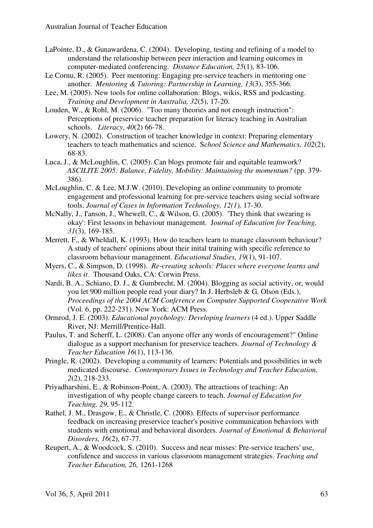- LaPointe, D., & Gunawardena, C. (2004). Developing, testing and refining of a model to understand the relationship between peer interaction and learning outcomes in computer-mediated conferencing. *Distance Education, 25*(1), 83-106.
- Le Cornu, R. (2005). Peer mentoring: Engaging pre-service teachers in mentoring one another. *Mentoring & Tutoring: Partnership in Learning, 13*(3), 355-366.
- Lee, M. (2005). New tools for online collaboration: Blogs, wikis, RSS and podcasting. *Training and Development in Australia, 32*(5), 17-20.
- Louden, W., & Rohl, M. (2006). "Too many theories and not enough instruction": Perceptions of preservice teacher preparation for literacy teaching in Australian schools. *Literacy*, *40*(2) 66-78.
- Lowery, N. (2002). Construction of teacher knowledge in context: Preparing elementary teachers to teach mathematics and science. S*chool Science and Mathematics, 102*(2), 68-83.
- Luca, J., & McLoughlin, C. (2005). Can blogs promote fair and equitable teamwork? *ASCILITE 2005: Balance, Fidelity, Mobility: Maintaining the momentum?* (pp. 379- 386).
- McLoughlin, C. & Lee, M.J.W. (2010). Developing an online community to promote engagement and professional learning for pre-service teachers using social software tools. *Journal of Cases in Information Technology, 12(1),* 17-30.
- McNally, J., I'anson, J., Whewell, C., & Wilson, G. (2005). 'They think that swearing is okay': First lessons in behaviour management. J*ournal of Education for Teaching, 31*(3), 169-185.
- Merrett, F., & Wheldall, K. (1993). How do teachers learn to manage classroom behaviour? A study of teachers' opinions about their inital training with specific reference to classroom behaviour management. *Educational Studies, 19*(1), 91-107.
- Myers, C., & Simpson, D. (1998). *Re-creating schools: Places where everyone learns and likes it.* Thousand Oaks, CA: Corwin Press.
- Nardi, B. A., Schiano, D. J., & Gumbrecht, M. (2004). Blogging as social activity, or, would you let 900 million people read your diary? In J. Herbsleb & G. Olson (Eds.), *Proceedings of the 2004 ACM Conference on Computer Supported Cooperative Work*  (Vol. 6, pp. 222-231). New York: ACM Press.
- Ormrod, J. E. (2003). *Educational psychology: Developing learners* (4 ed.). Upper Saddle River, NJ: Merrill/Prentice-Hall.
- Paulus, T. and Scherff, L. (2008). Can anyone offer any words of encouragement?" Online dialogue as a support mechanism for preservice teachers. *Journal of Technology & Teacher Education 16*(1), 113-136.
- Pringle, R. (2002). Developing a community of learners: Potentials and possibilities in web medicated discourse. *Contemporary Issues in Technology and Teacher Education, 2*(2), 218-233.
- Priyadharshini, E., & Robinson-Point, A. (2003). The attractions of teaching: An investigation of why people change careers to teach. *Journal of Education for Teaching, 29*, 95-112.
- Rathel, J. M., Drasgow, E., & Christle, C. (2008). Effects of supervisor performance feedback on increasing preservice teacher's positive communication behaviors with students with emotional and behavioral disorders. *Journal of Emotional & Behavioral Disorders, 16*(2), 67-77.
- Reupert, A., & Woodcock, S. (2010). Success and near misses: Pre-service teachers' use, confidence and success in various classroom management strategies. *Teaching and Teacher Education, 26,* 1261-1268